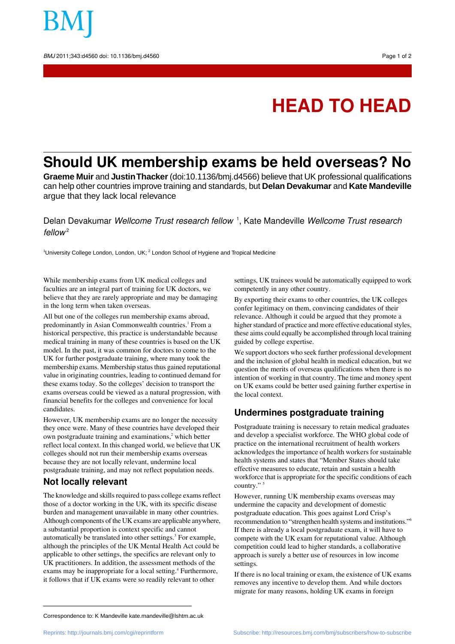

# **HEAD TO HEAD**

# **Should UK membership exams be held overseas? No**

**Graeme Muir** and **Justin Thacker** (doi:10.1136/bmj.d4566) believe that UK professional qualifications can help other countries improve training and standards, but **Delan Devakumar** and **Kate Mandeville** argue that they lack local relevance

Delan Devakumar *Wellcome Trust research fellow* <sup>1</sup>, Kate Mandeville *Wellcome Trust research*  $f$ ellow<sup>2</sup>

<sup>1</sup>University College London, London, UK; <sup>2</sup> London School of Hygiene and Tropical Medicine

While membership exams from UK medical colleges and faculties are an integral part of training for UK doctors, we believe that they are rarely appropriate and may be damaging in the long term when taken overseas.

All but one of the colleges run membership exams abroad, predominantly in Asian Commonwealth countries.<sup>1</sup> From a historical perspective, this practice is understandable because medical training in many of these countries is based on the UK model. In the past, it was common for doctors to come to the UK for further postgraduate training, where many took the membership exams. Membership status thus gained reputational value in originating countries, leading to continued demand for these exams today. So the colleges' decision to transport the exams overseas could be viewed as a natural progression, with financial benefits for the colleges and convenience for local candidates.

However, UK membership exams are no longer the necessity they once were. Many of these countries have developed their own postgraduate training and examinations,<sup>2</sup> which better reflect local context. In this changed world, we believe that UK colleges should not run their membership exams overseas because they are not locally relevant, undermine local postgraduate training, and may not reflect population needs.

## **Not locally relevant**

The knowledge and skills required to pass college exams reflect those of a doctor working in the UK, with its specific disease burden and management unavailable in many other countries. Although components of the UK exams are applicable anywhere, a substantial proportion is context specific and cannot automatically be translated into other settings.<sup>3</sup> For example, although the principles of the UK Mental Health Act could be applicable to other settings, the specifics are relevant only to UK practitioners. In addition, the assessment methods of the exams may be inappropriate for a local setting.<sup>4</sup> Furthermore, it follows that if UK exams were so readily relevant to other

settings, UK trainees would be automatically equipped to work competently in any other country.

By exporting their exams to other countries, the UK colleges confer legitimacy on them, convincing candidates of their relevance. Although it could be argued that they promote a higher standard of practice and more effective educational styles, these aims could equally be accomplished through local training guided by college expertise.

We support doctors who seek further professional development and the inclusion of global health in medical education, but we question the merits of overseas qualifications when there is no intention of working in that country. The time and money spent on UK exams could be better used gaining further expertise in the local context.

# **Undermines postgraduate training**

Postgraduate training is necessary to retain medical graduates and develop a specialist workforce. The WHO global code of practice on the international recruitment of health workers acknowledges the importance of health workers for sustainable health systems and states that "Member States should take effective measures to educate, retain and sustain a health workforce that is appropriate for the specific conditions of each country."

However, running UK membership exams overseas may undermine the capacity and development of domestic postgraduate education. This goes against Lord Crisp's recommendation to "strengthen health systems and institutions."<sup>6</sup> If there is already a local postgraduate exam, it will have to compete with the UK exam for reputational value. Although competition could lead to higher standards, a collaborative approach is surely a better use of resources in low income settings.

If there is no local training or exam, the existence of UK exams removes any incentive to develop them. And while doctors migrate for many reasons, holding UK exams in foreign

Correspondence to: K Mandeville kate.mandeville@lshtm.ac.uk